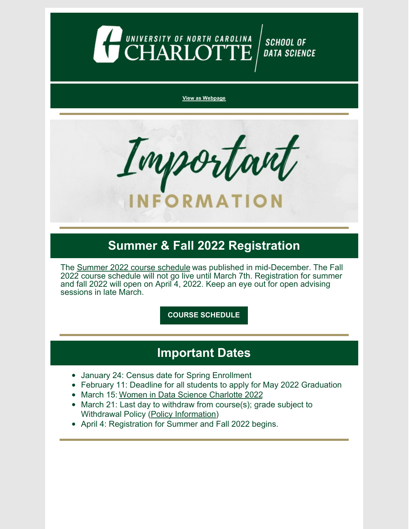

#### **View as [Webpage](https://campaignlp.constantcontact.com/em/1130527463971/3c7db395-b39b-4863-a6ab-2bbf38770b07)**



## **Summer & Fall 2022 Registration**

The Summer 2022 course [schedule](https://selfservice.uncc.edu/pls/BANPROD/bwckschd.p_disp_dyn_sched) was published in mid-December. The Fall 2022 course schedule will not go live until March 7th. Registration for summer and fall 2022 will open on April 4, 2022. Keep an eye out for open advising sessions in late March.

**COURSE [SCHEDULE](https://selfservice.uncc.edu/pls/BANPROD/bwckschd.p_disp_dyn_sched)**

## **Important Dates**

- January 24: Census date for Spring Enrollment
- February 11: Deadline for all students to apply for May 2022 Graduation
- March 15: Women in Data Science [Charlotte](https://widscharlotte.charlotte.edu/) 2022
- March 21: Last day to withdraw from course(s); grade subject to Withdrawal Policy (Policy [Information](https://provost.uncc.edu/policies-procedures/academic-policies-and-procedures/withdrawal-and-cancellation-enrollment-policy))
- April 4: Registration for Summer and Fall 2022 begins.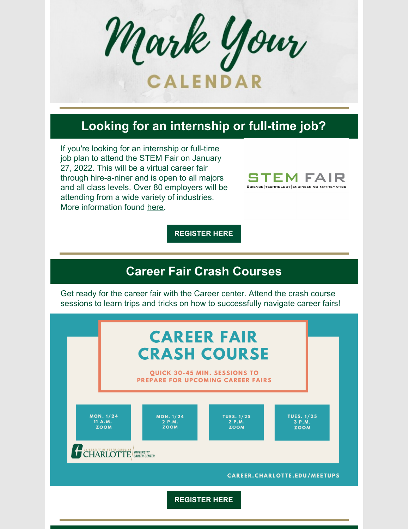Mark Your **CALENDAR** 

## **Looking for an internship or full-time job?**

If you're looking for an internship or full-time job plan to attend the STEM Fair on January 27, 2022. This will be a virtual career fair through hire-a-niner and is open to all majors and all class levels. Over 80 employers will be attending from a wide variety of industries. More information found [here](https://careerfairs.charlotte.edu/details.php?fair=100).



**[REGISTER](https://charlotte-csm.symplicity.com/events/09a0c4fd24f7c46a3655f88173330b9e/overview) HERE**

## **Career Fair Crash Courses**

Get ready for the career fair with the Career center. Attend the crash course sessions to learn trips and tricks on how to successfully navigate career fairs!

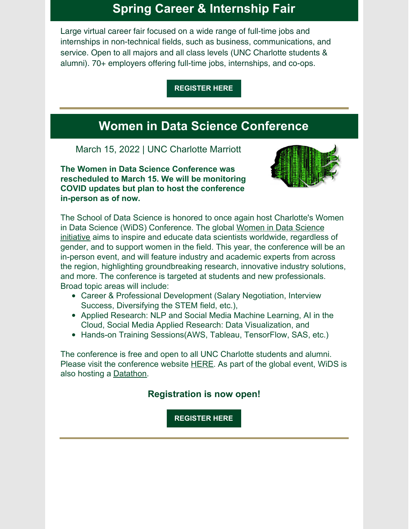## **Spring Career & Internship Fair**

Large virtual career fair focused on a wide range of full-time jobs and internships in non-technical fields, such as business, communications, and service. Open to all majors and all class levels (UNC Charlotte students & alumni). 70+ employers offering full-time jobs, internships, and co-ops.

**[REGISTER](https://careerfairs.charlotte.edu/details_student.php?fair=101) HERE**

## **Women in Data Science Conference**

March 15, 2022 | UNC Charlotte Marriott

**The Women in Data Science Conference was rescheduled to March 15. We will be monitoring COVID updates but plan to host the conference in-person as of now.**



The School of Data Science is honored to once again host Charlotte's Women in Data Science (WiDS) Conference. The global [Women](https://www.widsconference.org/about.html) in Data Science [initiative](https://www.widsconference.org/about.html) aims to inspire and educate data scientists worldwide, regardless of gender, and to support women in the field. This year, the conference will be an in-person event, and will feature industry and academic experts from across the region, highlighting groundbreaking research, innovative industry solutions, and more. The conference is targeted at students and new professionals. Broad topic areas will include:

- Career & Professional Development (Salary Negotiation, Interview Success, Diversifying the STEM field, etc.),
- Applied Research: NLP and Social Media Machine Learning, AI in the Cloud, Social Media Applied Research: Data Visualization, and
- Hands-on Training Sessions (AWS, Tableau, Tensor Flow, SAS, etc.)

The conference is free and open to all UNC Charlotte students and alumni. Please visit the conference website [HERE](https://widscharlotte.charlotte.edu/). As part of the global event, WiDS is also hosting a [Datathon](https://www.widsconference.org/datathon.html).

#### **Registration is now open!**

**[REGISTER](https://widscharlotte.charlotte.edu/) HERE**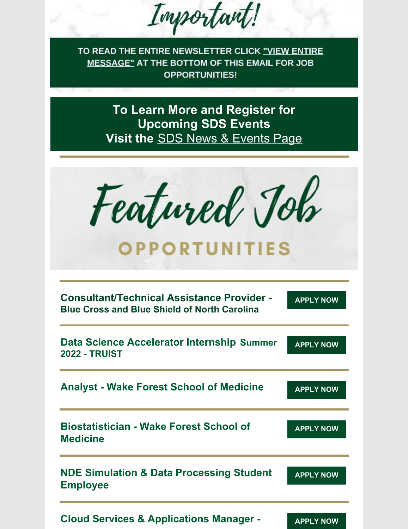Important!

TO READ THE ENTIRE NEWSLETTER CLICK "VIEW ENTIRE MESSAGE" AT THE BOTTOM OF THIS EMAIL FOR JOB **OPPORTUNITIES!** 

> **To Learn More and Register for Upcoming SDS Events Visit the** SDS News & [Events](https://datascience.charlotte.edu/recent-news) Page

Featured Job

# **OPPORTUNITIES**

| <b>Consultant/Technical Assistance Provider -</b><br><b>Blue Cross and Blue Shield of North Carolina</b> | <b>APPLY NOW</b> |
|----------------------------------------------------------------------------------------------------------|------------------|
| Data Science Accelerator Internship Summer<br><b>2022 - TRUIST</b>                                       | <b>APPLY NOW</b> |
| <b>Analyst - Wake Forest School of Medicine</b>                                                          | <b>APPLY NOW</b> |
| <b>Biostatistician - Wake Forest School of</b><br><b>Medicine</b>                                        | <b>APPLY NOW</b> |
| <b>NDE Simulation &amp; Data Processing Student</b><br><b>Employee</b>                                   | <b>APPLY NOW</b> |
| <b>Cloud Services &amp; Applications Manager -</b>                                                       | <b>APPLY NOW</b> |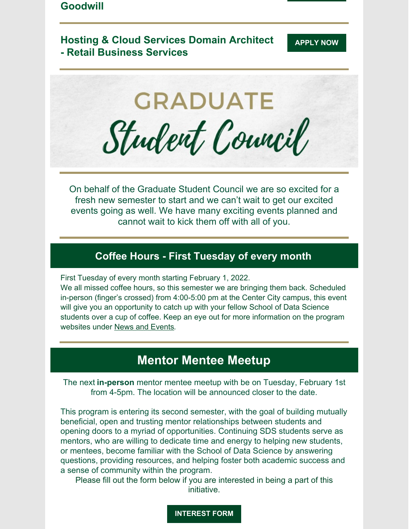## **Goodwill**

### **Hosting & Cloud Services Domain Architect - Retail Business Services**



On behalf of the Graduate Student Council we are so excited for a fresh new semester to start and we can't wait to get our excited events going as well. We have many exciting events planned and cannot wait to kick them off with all of you.

#### **Coffee Hours - First Tuesday of every month**

First Tuesday of every month starting February 1, 2022.

We all missed coffee hours, so this semester we are bringing them back. Scheduled in-person (finger's crossed) from 4:00-5:00 pm at the Center City campus, this event will give you an opportunity to catch up with your fellow School of Data Science students over a cup of coffee. Keep an eye out for more information on the program websites under News and [Events](https://datascience.charlotte.edu/recent-news).

## **Mentor Mentee Meetup**

The next **in-person** mentor mentee meetup with be on Tuesday, February 1st from 4-5pm. The location will be announced closer to the date.

This program is entering its second semester, with the goal of building mutually beneficial, open and trusting mentor relationships between students and opening doors to a myriad of opportunities. Continuing SDS students serve as mentors, who are willing to dedicate time and energy to helping new students, or mentees, become familiar with the School of Data Science by answering questions, providing resources, and helping foster both academic success and a sense of community within the program.

Please fill out the form below if you are interested in being a part of this initiative.

**[INTEREST](https://docs.google.com/forms/d/e/1FAIpQLSdtmKPOj8VIY39p0Qm-pJjudMve3cU--xopNmIEmaRiSWkRrw/viewform?usp=sf_link) FORM**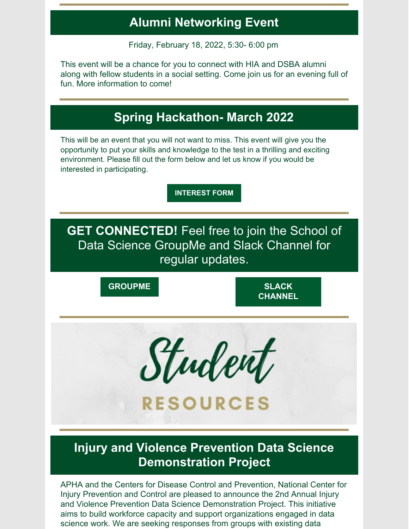## **Alumni Networking Event**

Friday, February 18, 2022, 5:30- 6:00 pm

This event will be a chance for you to connect with HIA and DSBA alumni along with fellow students in a social setting. Come join us for an evening full of fun. More information to come!

## **Spring Hackathon- March 2022**

This will be an event that you will not want to miss. This event will give you the opportunity to put your skills and knowledge to the test in a thrilling and exciting environment. Please fill out the form below and let us know if you would be interested in participating.

**[INTEREST](https://docs.google.com/forms/d/e/1FAIpQLSeV6BGKE4uIZklPpsNjppsnuZKVNxy6zWJh-_oqwIZrFtoWvA/viewform?usp=sf_link) FORM**

**GET CONNECTED!** Feel free to join the School of Data Science GroupMe and Slack Channel for regular updates.

**[GROUPME](https://groupme.com/join_group/65826983/pjXqaF8d) SLACK**

**[CHANNEL](https://join.slack.com/t/uncc-data-science/shared_invite/zt-mw2u30ev-HqpNlg4PNaABcWUX_DcZ0g)**



**RESOURCES** 

## **Injury and Violence Prevention Data Science Demonstration Project**

APHA and the Centers for Disease Control and Prevention, National Center for Injury Prevention and Control are pleased to announce the 2nd Annual Injury and Violence Prevention Data Science Demonstration Project. This initiative aims to build workforce capacity and support organizations engaged in data science work. We are seeking responses from groups with existing data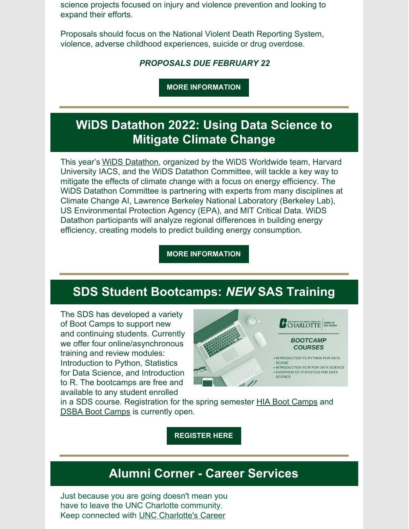science projects focused on injury and violence prevention and looking to expand their efforts.

Proposals should focus on the National Violent Death Reporting System, violence, adverse childhood experiences, suicide or drug overdose.

#### *PROPOSALS DUE FEBRUARY 22*

**MORE [INFORMATION](https://apha.org/about-apha/our-vision/financial-statements/solicitations?_zs=aFprX&_zl=kc4v2)**

## **WiDS Datathon 2022: Using Data Science to Mitigate Climate Change**

This year's WiDS [Datathon](https://www.widsconference.org/datathon.html), organized by the WiDS Worldwide team, Harvard University IACS, and the WiDS Datathon Committee, will tackle a key way to mitigate the effects of climate change with a focus on energy efficiency. The WiDS Datathon Committee is partnering with experts from many disciplines at Climate Change AI, Lawrence Berkeley National Laboratory (Berkeley Lab), US Environmental Protection Agency (EPA), and MIT Critical Data. WiDS Datathon participants will analyze regional differences in building energy efficiency, creating models to predict building energy consumption.

**MORE [INFORMATION](https://www.widsconference.org/datathon.html)**

## **SDS Student Bootcamps:** *NEW* **SAS Training**

The SDS has developed a variety of Boot Camps to support new and continuing students. Currently we offer four online/asynchronous training and review modules: Introduction to Python, Statistics for Data Science, and Introduction to R. The bootcamps are free and available to any student enrolled



in a SDS course. Registration for the spring semester **HIA Boot [Camps](https://hia.charlotte.edu/current-students/sds-bootcamp-courses)** and DSBA Boot [Camps](https://dsba.charlotte.edu/current-students/sds-bootcamp-courses) is currently open.

**[REGISTER](https://docs.google.com/forms/d/e/1FAIpQLScD_6VZRcME_mHKKZDyaPZrYRR6NZCwZmODxHURE4HhVKzKQA/viewform) HERE**

## **Alumni Corner - Career Services**

Just because you are going doesn't mean you have to leave the UNC Charlotte community. Keep connected with UNC [Charlotte's](https://www.youtube.com/watch?v=Lk3SDds8WAM) Career